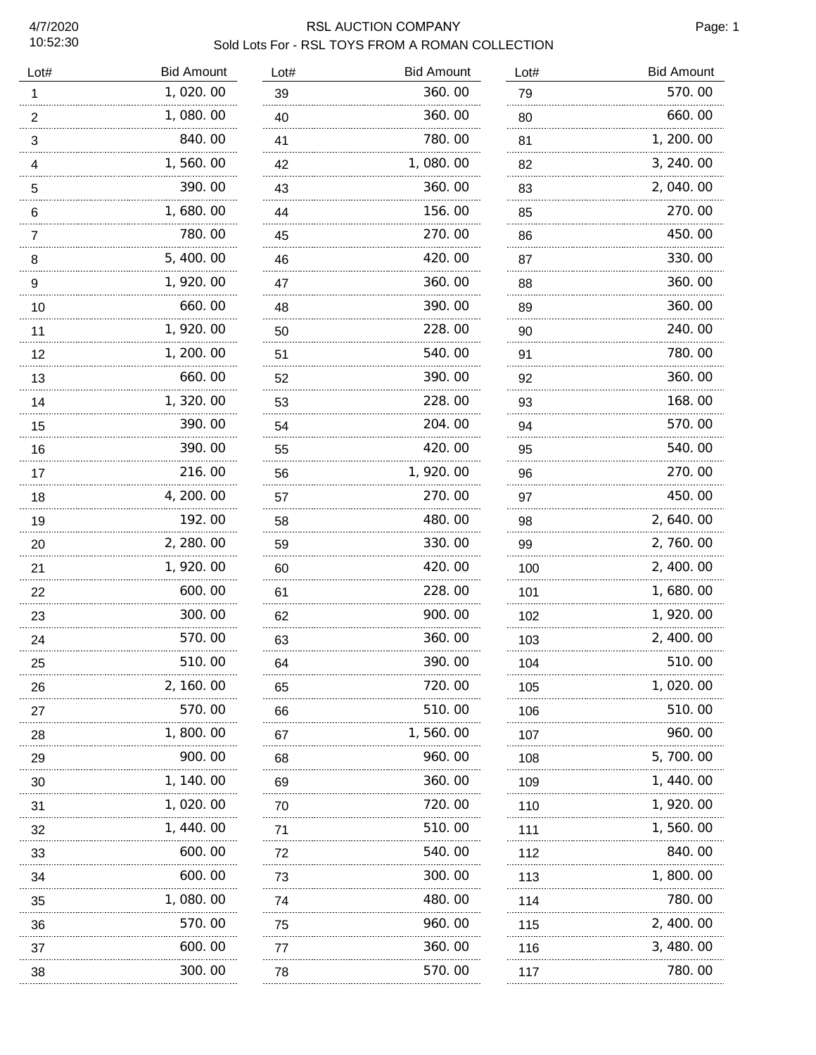# RSL AUCTION COMPANY **Page: 1** Sold Lots For - RSL TOYS FROM A ROMAN COLLECTION

| Lot#           | <b>Bid Amount</b> | Lot# | <b>Bid Amount</b> | Lot#    | <b>Bid Amount</b> |
|----------------|-------------------|------|-------------------|---------|-------------------|
| 1              | 1,020.00          | 39   | 360.00            | 79      | 570.00            |
| $\overline{2}$ | 1,080.00          | 40   | 360.00            | 80      | 660.00            |
| 3              | 840.00            | 41   | 780.00            | 81      | 1, 200. 00        |
| 4              | 1,560.00          | 42   | 1,080.00          | 82      | 3, 240.00         |
| 5              | 390.00            | 43   | 360.00            | 83<br>. | 2,040.00          |
| 6              | 1,680.00          | 44   | 156.00            | 85      | 270.00            |
| 7              | 780.00            | 45   | 270.00            | 86<br>. | 450.00            |
| 8              | 5, 400.00         | 46   | 420.00            | 87      | 330.00            |
| 9              | 1,920.00          | 47   | 360.00            | 88      | 360.00            |
| 10             | 660.00            | 48   | 390.00            | 89      | 360.00            |
| 11             | 1, 920.00         | 50   | 228.00            | 90      | 240.00            |
| 12             | 1, 200. 00        | 51   | 540.00            | 91      | 780.00            |
| 13             | 660.00            | 52   | 390.00            | 92      | 360.00            |
| 14             | 1,320.00<br>.     | 53   | 228.00            | 93      | 168.00            |
| 15             | 390.00            | 54   | 204.00            | 94      | 570.00            |
| 16             | 390.00            | 55   | 420.00            | 95      | 540.00            |
| 17             | 216.00            | 56   | 1,920.00          | 96      | 270.00            |
| 18             | 4, 200. 00<br>.   | 57   | 270.00<br>.       | 97      | 450.00            |
| 19             | 192.00<br>        | 58   | 480.00            | 98      | 2, 640.00         |
| 20             | 2, 280.00         | 59   | 330.00            | 99      | 2, 760.00         |
| 21             | 1,920.00          | 60   | 420.00            | 100     | 2, 400.00         |
| 22             | 600.00            | 61   | 228.00            | 101     | 1,680.00          |
| 23             | 300.00            | 62   | 900.00            | 102     | 1, 920.00         |
| 24             | 570.00            | 63   | 360.00            | 103     | 2, 400.00         |
| 25             | 510.00            | 64   | 390.00            | 104     | 510.00            |
| 26             | 2, 160.00         | 65   | 720.00            | 105     | 1,020.00          |
| 27             | 570.00            | 66   | 510.00            | 106     | 510.00            |
| 28             | 1,800.00          | 67   | 1,560.00          | 107     | 960.00            |
| 29             | 900.00            | 68   | 960.00            | 108     | 5,700.00          |
| 30             | 1, 140. 00        | 69   | 360.00            | 109     | 1, 440.00         |
| 31             | 1,020.00          | 70   | 720.00            | 110     | 1, 920.00         |
| 32             | 1, 440.00         | 71   | 510.00            | 111     | 1,560.00          |
| 33             | 600.00            | 72   | 540.00            | 112     | 840.00            |
| 34             | 600.00            | 73   | 300.00            | 113     | 1, 800. 00        |
| 35             | 1,080.00          | 74   | 480.00            | 114     | 780.00            |
| 36             | 570.00            | 75   | 960.00            | 115     | 2, 400. 00        |
| 37             | 600.00            | 77   | 360.00            | 116     | 3, 480.00         |
| 38             | 300.00            | 78   | 570.00            | 117     | 780.00            |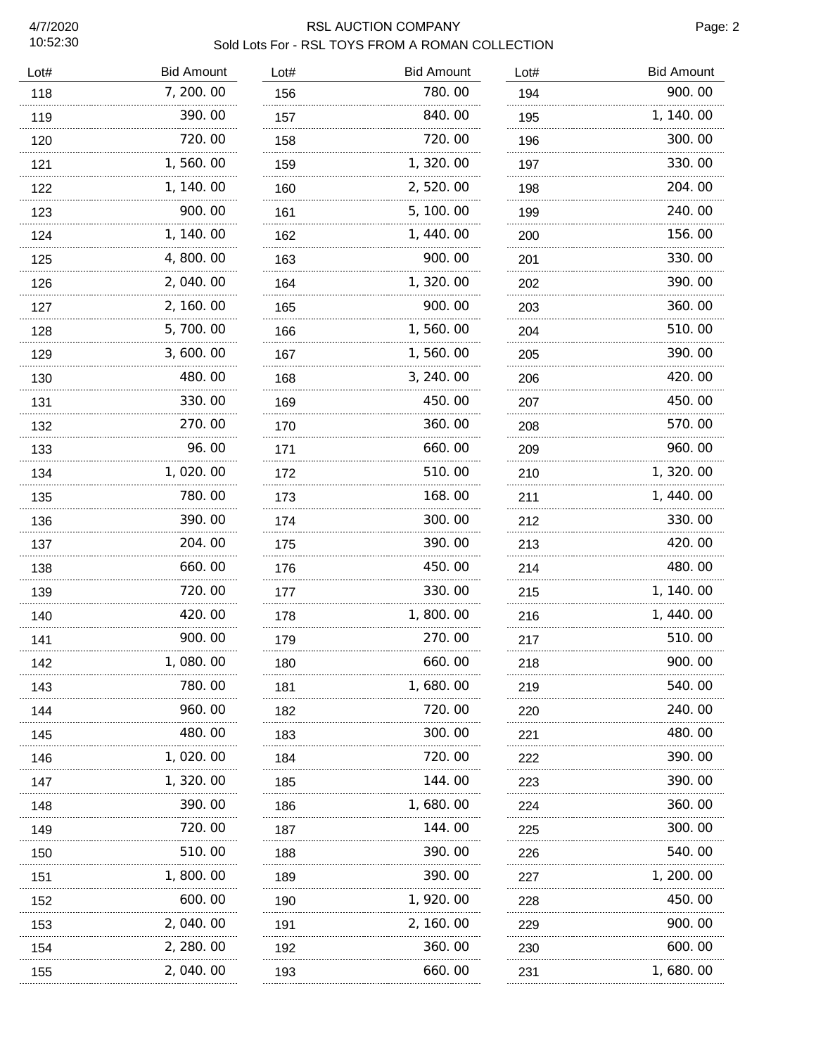#### RSL AUCTION COMPANY Page: 2 Sold Lots For - RSL TOYS FROM A ROMAN COLLECTION

| Lot# | <b>Bid Amount</b> | Lot# | <b>Bid Amount</b> | Lot# | <b>Bid Amount</b> |
|------|-------------------|------|-------------------|------|-------------------|
| 118  | 7, 200.00         | 156  | 780.00            | 194  | 900.00            |
| 119  | 390.00            | 157  | 840.00            | 195  | 1, 140.00         |
| 120  | 720.00            | 158  | 720.00            | 196  | 300.00            |
| 121  | 1,560.00          | 159  | 1,320.00          | 197  | 330.00            |
| 122  | 1, 140.00         | 160  | 2,520.00          | 198  | 204.00            |
| 123  | 900.00            | 161  | 5, 100.00         | 199  | 240.00            |
| 124  | 1, 140.00         | 162  | 1,440.00          | 200  | 156.00            |
| 125  | 4,800.00          | 163  | 900.00            | 201  | 330.00            |
| 126  | 2,040.00          | 164  | 1,320.00          | 202  | 390.00            |
| 127  | 2, 160.00         | 165  | 900.00            | 203  | 360.00            |
| 128  | 5,700.00          | 166  | 1,560.00          | 204  | 510.00            |
| 129  | 3,600.00          | 167  | 1,560.00          | 205  | 390.00            |
| 130  | 480.00            | 168  | 3, 240.00         | 206  | 420.00            |
| 131  | 330.00            | 169  | 450.00            | 207  | 450.00            |
| 132  | 270.00            | 170  | 360.00            | 208  | 570.00            |
| 133  | 96.00             | 171  | 660.00            | 209  | 960.00            |
| 134  | 1,020.00          | 172  | 510.00            | 210  | 1, 320.00         |
| 135  | 780.00            | 173  | 168.00            | 211  | 1, 440.00         |
| 136  | 390.00            | 174  | 300.00            | 212  | 330.00            |
| 137  | 204.00            | 175  | 390.00            | 213  | 420.00            |
| 138  | 660.00            | 176  | 450.00            | 214  | 480.00            |
| 139  | 720.00            | 177  | 330.00            | 215  | 1, 140.00         |
| 140  | 420.00            | 178  | 1,800.00          | 216  | 1, 440.00         |
| 141  | 900.00            | 179  | 270.00            | 217  | 510.00            |
| 142  | 1, 080. 00        | 180  | 660.00            | 218  | 900.00            |
| 143  | 780.00            | 181  | 1, 680. 00        | 219  | 540.00            |
| 144  | 960.00            | 182  | 720. 00           | 220  | 240.00            |
| 145  | 480.00            | 183  | 300.00            | 221  | 480.00            |
| 146  | 1, 020. 00        | 184  | 720.00            | 222  | 390.00            |
| 147  | 1, 320. 00        | 185  | 144.00            | 223  | 390.00            |
| 148  | 390.00            | 186  | 1,680.00          | 224  | 360.00            |
| 149  | 720.00            | 187  | 144.00            | 225  | 300.00            |
| 150  | 510.00            | 188  | 390.00            | 226  | 540.00            |
| 151  | 1, 800. 00        | 189  | 390.00            | 227  | 1, 200. 00        |
| 152  | 600.00            | 190  | 1, 920. 00        | 228  | 450.00            |
| 153  | 2, 040. 00        | 191  | 2, 160. 00        | 229  | 900.00            |
| 154  | 2, 280. 00        | 192  | 360.00            | 230  | 600.00            |
| 155  | 2, 040. 00        | 193  | 660.00            | 231  | 1, 680. 00        |
|      |                   |      |                   |      |                   |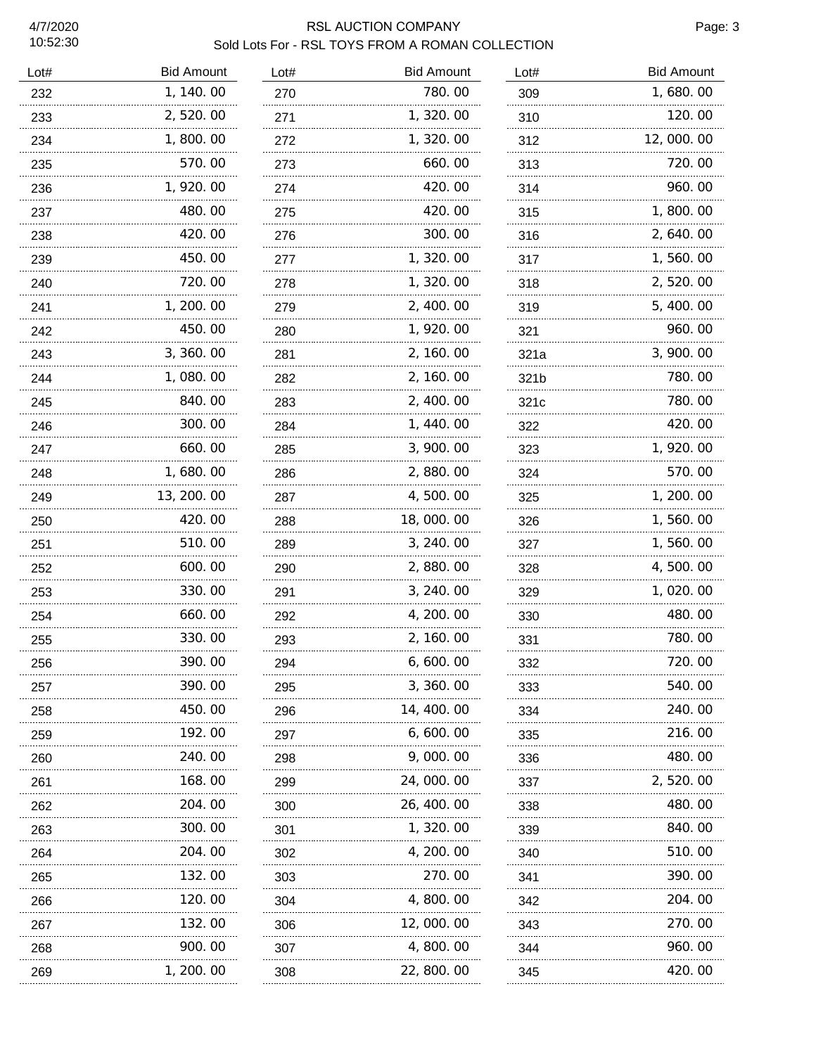#### RSL AUCTION COMPANY **Page: 3** Sold Lots For - RSL TOYS FROM A ROMAN COLLECTION

| Lot# | <b>Bid Amount</b> | Lot#     | <b>Bid Amount</b> | Lot#             | <b>Bid Amount</b> |
|------|-------------------|----------|-------------------|------------------|-------------------|
| 232  | 1, 140.00         | 270      | 780.00            | 309              | 1,680.00          |
| 233  | 2,520.00          | 271      | 1,320.00          | 310              | 120.00            |
| 234  | 1,800.00          | 272<br>. | 1, 320.00         | 312              | 12,000.00         |
| 235  | 570.00            | 273      | 660.00            | 313              | 720.00            |
| 236  | 1, 920. 00        | 274      | 420.00            | 314              | 960.00            |
| 237  | 480.00            | 275      | 420.00            | 315              | 1,800.00          |
| 238  | 420.00            | 276      | 300.00            | 316              | 2, 640.00         |
| 239  | 450.00            | 277      | 1, 320.00         | 317              | 1,560.00          |
| 240  | 720.00            | 278      | 1, 320.00         | 318              | 2, 520.00         |
| 241  | 1, 200. 00        | 279      | 2, 400.00         | 319              | 5, 400.00         |
| 242  | 450.00            | 280      | 1, 920.00         | 321              | 960.00            |
| 243  | 3, 360. 00        | 281      | 2, 160.00         | 321a             | 3, 900. 00        |
| 244  | 1,080.00          | 282      | 2, 160.00         | 321b             | 780.00            |
| 245  | 840.00            | 283      | 2, 400.00         | 321 <sub>c</sub> | 780.00            |
| 246  | 300.00            | 284      | 1, 440.00         | 322              | 420.00            |
| 247  | 660.00            | 285      | 3,900.00          | 323              | 1, 920.00         |
| 248  | 1,680.00          | 286      | 2,880.00          | 324              | 570.00            |
| 249  | 13, 200. 00       | 287      | 4,500.00          | 325              | 1, 200. 00        |
| 250  | 420.00            | 288      | 18,000.00         | 326              | 1,560.00          |
| 251  | 510.00<br>.       | 289      | 3, 240.00         | 327              | 1,560.00          |
| 252  | 600.00            | 290      | 2,880.00          | 328              | 4,500.00          |
| 253  | 330.00            | 291      | 3, 240.00         | 329              | 1, 020. 00        |
| 254  | 660.00            | 292      | 4, 200. 00        | 330              | 480.00            |
| 255  | 330.00            | 293      | 2, 160.00         | 331              | 780.00            |
| 256  | 390.00            | 294      | 6, 600. 00        | 332              | 720.00            |
| 257  | 390.00            | 295      | 3, 360.00         | 333              | 540.00            |
| 258  | 450.00            | 296      | 14, 400. 00       | 334              | 240.00            |
| 259  | 192.00            | 297      | 6,600.00          | 335              | 216.00            |
| 260  | 240.00            | 298      | 9,000.00          | 336              | 480.00            |
| 261  | 168.00            | 299      | 24,000.00         | 337              | 2, 520.00         |
| 262  | 204.00            | 300      | 26, 400.00        | 338              | 480.00            |
| 263  | 300.00            | 301      | 1, 320. 00        | 339              | 840.00            |
| 264  | 204.00            | 302      | 4, 200. 00        | 340              | 510.00            |
| 265  | 132.00            | 303      | 270.00            | 341              | 390.00            |
| 266  | 120.00            | 304      | 4,800.00          | 342              | 204.00            |
| 267  | 132.00            | 306      | 12,000.00         | 343              | 270.00            |
| 268  | 900.00            | 307      | 4,800.00          | 344              | 960.00            |
| 269  | 1, 200. 00        | 308      | 22, 800. 00       | 345              | 420.00            |
|      |                   |          |                   |                  |                   |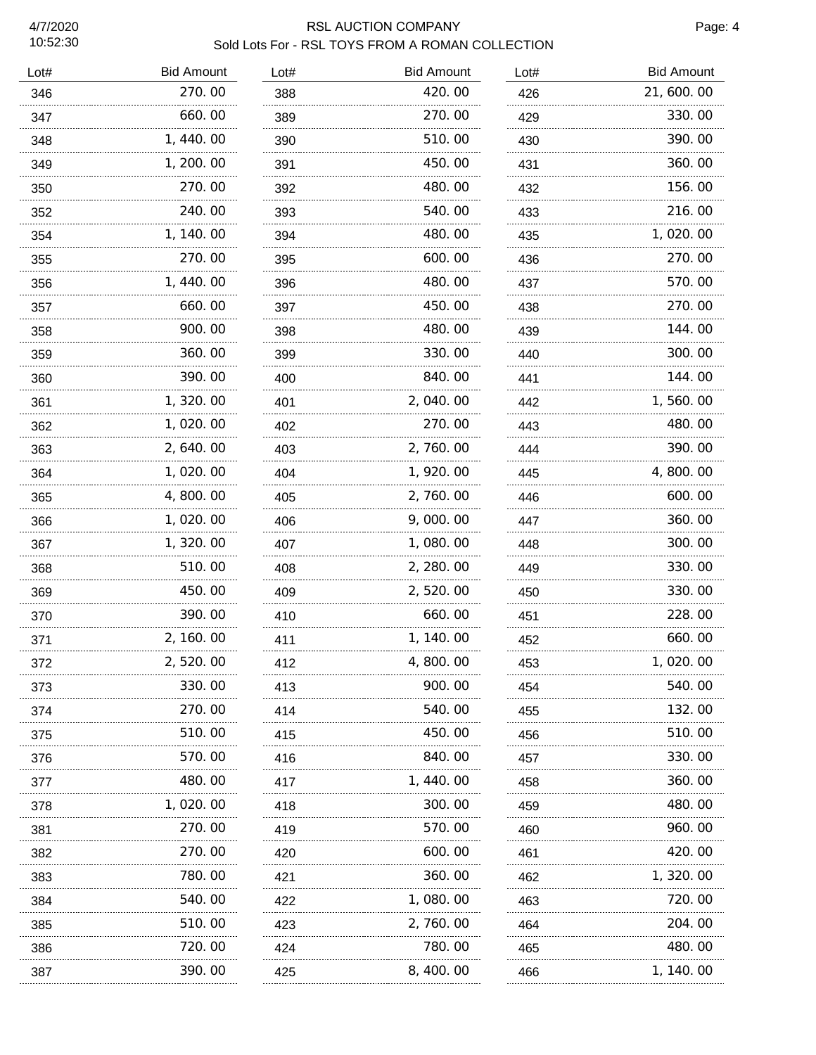# RSL AUCTION COMPANY **Page: 4** Sold Lots For - RSL TOYS FROM A ROMAN COLLECTION

| Lot# | <b>Bid Amount</b> | Lot# | <b>Bid Amount</b> | Lot# | <b>Bid Amount</b> |
|------|-------------------|------|-------------------|------|-------------------|
| 346  | 270.00            | 388  | 420.00            | 426  | 21, 600. 00       |
| 347  | 660.00            | 389  | 270.00            | 429  | 330.00            |
| 348  | 1, 440.00         | 390  | 510.00            | 430  | 390.00            |
| 349  | 1, 200. 00        | 391  | 450.00            | 431  | 360.00            |
| 350  | 270.00            | 392  | 480.00            | 432  | 156.00            |
| 352  | 240.00            | 393  | 540.00            | 433  | 216.00            |
| 354  | 1, 140.00         | 394  | 480.00            | 435  | 1,020.00          |
| 355  | 270.00            | 395  | 600.00            | 436  | 270.00            |
| 356  | 1, 440.00         | 396  | 480.00            | 437  | 570.00            |
| 357  | 660.00            | 397  | 450.00            | 438  | 270.00            |
| 358  | 900.00            | 398  | 480.00            | 439  | 144.00            |
| 359  | 360.00            | 399  | 330.00            | 440  | 300.00            |
| 360  | 390.00            | 400  | 840.00            | 441  | 144.00            |
| 361  | 1, 320.00         | 401  | 2,040.00          | 442  | 1,560.00          |
| 362  | 1,020.00          | 402  | 270.00            | 443  | 480.00            |
| 363  | 2, 640.00         | 403  | 2, 760.00         | 444  | 390.00            |
| 364  | 1,020.00          | 404  | 1, 920.00         | 445  | 4, 800. 00        |
| 365  | 4,800.00          | 405  | 2,760.00          | 446  | 600.00            |
| 366  | 1,020.00          | 406  | 9,000.00          | 447  | 360.00            |
| 367  | 1, 320.00         | 407  | 1,080.00          | 448  | 300.00            |
| 368  | 510.00            | 408  | 2, 280.00         | 449  | 330.00            |
| 369  | 450.00            | 409  | 2,520.00          | 450  | 330.00            |
| 370  | 390.00            | 410  | 660.00            | 451  | 228.00            |
| 371  | 2, 160.00         | 411  | 1, 140.00         | 452  | 660.00            |
| 372  | 2, 520. 00        | 412  | 4, 800. 00        | 453  | 1, 020. 00        |
| 373  | 330.00            | 413  | 900.00            | 454  | 540.00            |
| 374  | 270.00            | 414  | 540.00            | 455  | 132.00            |
| 375  | 510.00            | 415  | 450.00            | 456  | 510.00            |
| 376  | 570.00            | 416  | 840.00            | 457  | 330.00            |
| 377  | 480.00            | 417  | 1, 440. 00        | 458  | 360.00            |
| 378  | 1, 020. 00        | 418  | 300.00            | 459  | 480.00            |
| 381  | 270.00            | 419  | 570.00            | 460  | 960.00            |
| 382  | 270.00            | 420  | 600.00            | 461  | 420.00            |
| 383  | 780.00            | 421  | 360.00            | 462  | 1, 320.00         |
| 384  | 540.00            | 422  | 1,080.00          | 463  | 720.00            |
| 385  | 510.00            | 423  | 2, 760.00         | 464  | 204.00            |
| 386  | 720.00            | 424  | 780.00            | 465  | 480.00            |
| 387  | 390.00            | 425  | 8, 400. 00        | 466  | 1, 140. 00        |
|      |                   |      |                   |      |                   |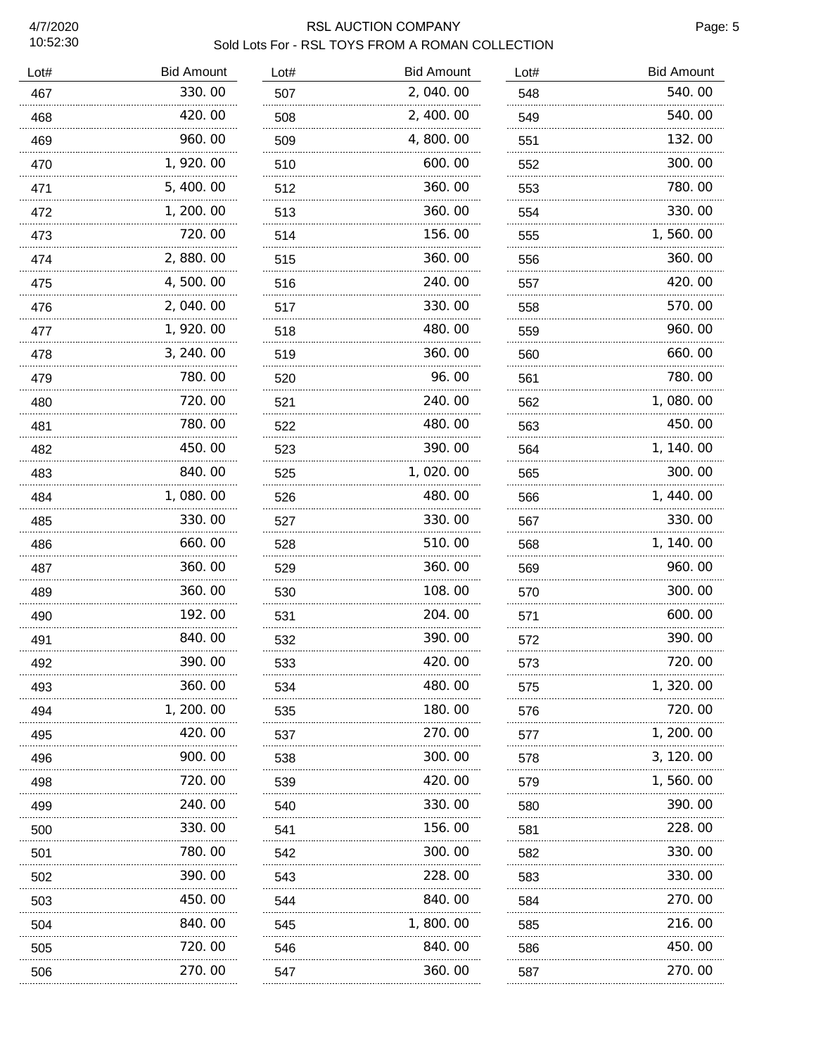# RSL AUCTION COMPANY **Page: 5** Sold Lots For - RSL TOYS FROM A ROMAN COLLECTION

| Lot# | <b>Bid Amount</b> | Lot# | <b>Bid Amount</b> | Lot# | <b>Bid Amount</b> |
|------|-------------------|------|-------------------|------|-------------------|
| 467  | 330.00            | 507  | 2,040.00          | 548  | 540.00            |
| 468  | 420.00            | 508  | 2, 400.00         | 549  | 540.00            |
| 469  | 960.00            | 509  | 4,800.00          | 551  | 132.00            |
| 470  | 1, 920.00         | 510  | 600.00            | 552  | 300.00            |
| 471  | 5,400.00          | 512  | 360.00            | 553  | 780.00            |
| 472  | 1, 200. 00        | 513  | 360.00            | 554  | 330.00            |
| 473  | 720.00            | 514  | 156.00            | 555  | 1,560.00          |
| 474  | 2,880.00          | 515  | 360.00            | 556  | 360.00            |
| 475  | 4,500.00          | 516  | 240.00            | 557  | 420.00            |
| 476  | 2,040.00          | 517  | 330.00            | 558  | 570.00            |
| 477  | 1,920.00          | 518  | 480.00            | 559  | 960.00            |
| 478  | 3, 240.00         | 519  | 360.00            | 560  | 660.00            |
| 479  | 780.00            | 520  | 96.00             | 561  | 780.00            |
| 480  | 720.00            | 521  | 240.00            | 562  | 1,080.00          |
| 481  | 780.00            | 522  | 480.00            | 563  | 450.00            |
| 482  | 450.00            | 523  | 390.00            | 564  | 1, 140.00         |
| 483  | 840.00            | 525  | 1,020.00          | 565  | 300.00            |
| 484  | 1,080.00          | 526  | 480.00            | 566  | 1, 440.00         |
| 485  | 330.00            | 527  | 330.00            | 567  | 330.00            |
| 486  | 660.00            | 528  | 510.00            | 568  | 1, 140. 00        |
| 487  | 360.00            | 529  | 360.00            | 569  | 960.00            |
| 489  | 360.00            | 530  | 108.00            | 570  | 300.00            |
| 490  | 192.00            | 531  | 204.00            | 571  | 600.00            |
| 491  | 840.00            | 532  | 390.00            | 572  | 390.00            |
| 492  | 390. 00           | 533  | 420. OO           | 573  | 720.00            |
| 493  | 360.00            | 534  | 480.00            | 575  | 1, 320.00         |
| 494  | 1, 200. 00<br>.   | 535  | 180.00            | 576  | 720.00            |
| 495  | 420.00            | 537  | 270.00            | 577  | 1, 200. 00        |
| 496  | 900. 00           | 538  | 300.00            | 578  | 3, 120. 00        |
| 498  | 720.00            | 539  | 420.00            | 579  | 1, 560. 00        |
| 499  | 240.00            | 540  | 330.00            | 580  | 390.00            |
| 500  | 330.00            | 541  | 156.00            | 581  | 228.00            |
| 501  | 780.00            | 542  | 300.00            | 582  | 330.00            |
| 502  | 390.00            | 543  | 228.00            | 583  | 330.00            |
| 503  | 450. 00           | 544  | 840.00            | 584  | 270.00            |
| 504  | 840.00            | 545  | 1,800.00          | 585  | 216.00            |
| 505  | 720.00            | 546  | 840.00            | 586  | 450.00            |
| 506  | 270.00            | 547  | 360.00            | 587  | 270.00            |
|      |                   |      |                   |      |                   |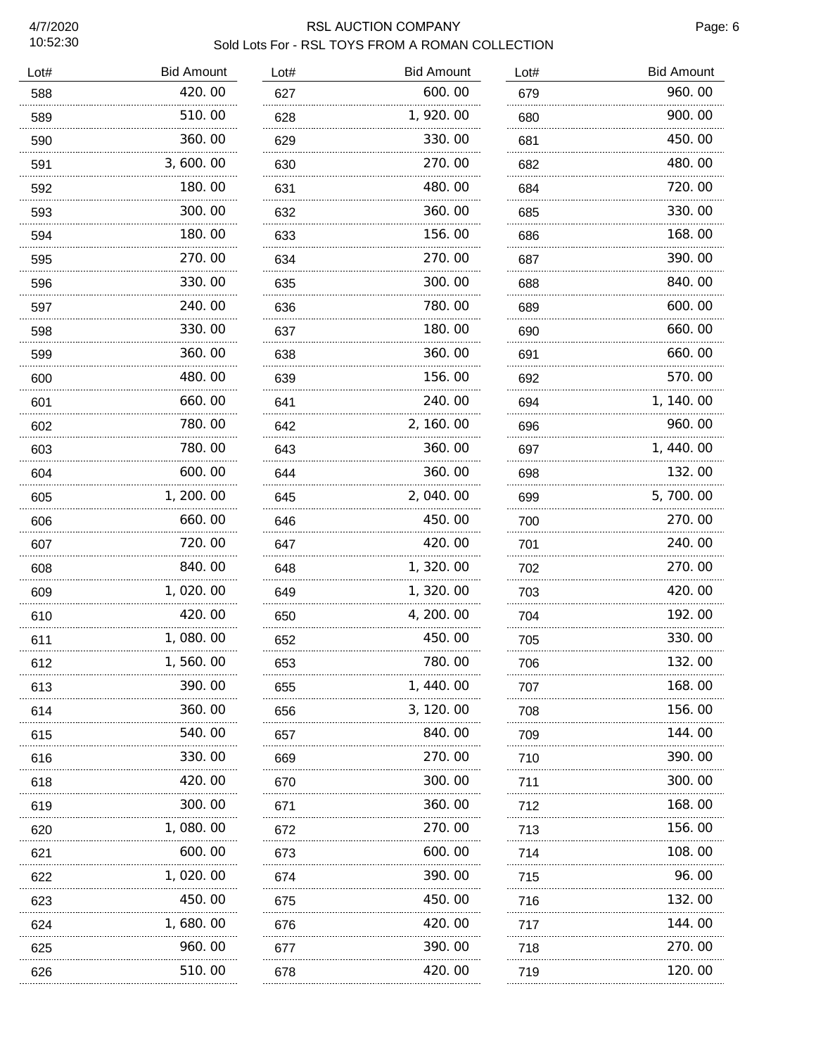# RSL AUCTION COMPANY **Page: 6** Sold Lots For - RSL TOYS FROM A ROMAN COLLECTION

| Lot# | <b>Bid Amount</b> | Lot# | <b>Bid Amount</b> | Lot# | <b>Bid Amount</b> |
|------|-------------------|------|-------------------|------|-------------------|
| 588  | 420.00            | 627  | 600.00            | 679  | 960.00            |
| 589  | 510.00            | 628  | 1, 920.00         | 680  | 900.00            |
| 590  | 360.00            | 629  | 330.00            | 681  | 450.00            |
| 591  | 3,600.00          | 630  | 270.00            | 682  | 480.00            |
| 592  | 180.00            | 631  | 480.00            | 684  | 720.00            |
| 593  | 300.00            | 632  | 360.00            | 685  | 330.00            |
| 594  | 180.00            | 633  | 156.00            | 686  | 168.00            |
| 595  | 270.00            | 634  | 270.00            | 687  | 390.00            |
| 596  | 330.00            | 635  | 300.00            | 688  | 840.00            |
| 597  | 240.00            | 636  | 780.00            | 689  | 600.00            |
| 598  | 330.00            | 637  | 180.00            | 690  | 660.00            |
| 599  | 360.00            | 638  | 360.00            | 691  | 660.00            |
| 600  | 480.00            | 639  | 156.00            | 692  | 570.00            |
| 601  | 660.00            | 641  | 240.00            | 694  | 1, 140. 00        |
| 602  | 780.00            | 642  | 2, 160.00         | 696  | 960.00            |
| 603  | 780.00            | 643  | 360.00            | 697  | 1, 440.00         |
| 604  | 600.00            | 644  | 360.00            | 698  | 132.00            |
| 605  | 1, 200. 00        | 645  | 2,040.00          | 699  | 5,700.00          |
| 606  | 660.00            | 646  | 450.00            | 700  | 270.00            |
| 607  | 720.00            | 647  | 420.00            | 701  | 240.00            |
| 608  | 840.00            | 648  | 1, 320.00         | 702  | 270.00            |
| 609  | 1,020.00          | 649  | 1, 320.00         | 703  | 420.00            |
| 610  | 420.00            | 650  | 4, 200. 00        | 704  | 192.00            |
| 611  | 1,080.00          | 652  | 450.00            | 705  | 330.00            |
| 612  | 1,560.00          | 653  | 780.00            | 706  | 132.00            |
| 613  | 390.00            | 655  | 1, 440.00         | 707  | 168.00            |
| 614  | 360.00            | 656  | 3, 120, 00        | 708  | 156. 00           |
| 615  | 540.00            | 657  | 840.00            | 709  | 144. 00           |
| 616  | 330.00            | 669  | 270.00            | 710  | 390.00            |
| 618  | 420.00            | 670  | 300.00            | 711  | 300.00            |
| 619  | 300.00            | 671  | 360.00            | 712  | 168.00            |
| 620  | 1,080.00          | 672  | 270.00            | 713  | 156.00            |
| 621  | 600.00            | 673  | 600.00            | 714  | 108.00            |
| 622  | 1, 020. 00        | 674  | 390.00            | 715  | 96.00             |
| 623  | 450.00            | 675  | 450.00            | 716  | 132.00            |
| 624  | 1, 680. 00        | 676  | 420.00            | 717  | 144. 00           |
| 625  | 960.00            | 677  | 390.00            | 718  | 270.00            |
| 626  | 510.00            | 678  | 420.00            | 719  | 120.00            |
|      |                   |      |                   |      |                   |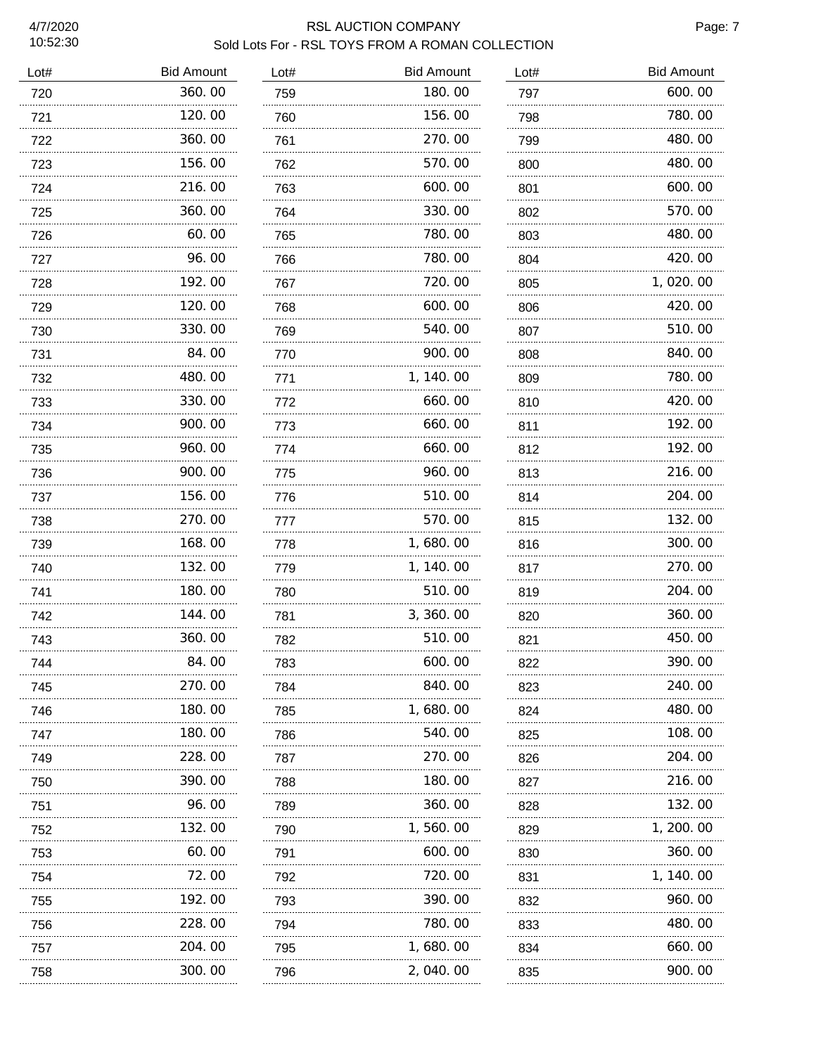#### RSL AUCTION COMPANY **Page: 7** Sold Lots For - RSL TOYS FROM A ROMAN COLLECTION

| <b>Bid Amount</b> | Lot#        | <b>Bid Amount</b> | Lot# | <b>Bid Amount</b> |
|-------------------|-------------|-------------------|------|-------------------|
| 360.00            | 759         | 180.00            | 797  | 600.00            |
| 120.00            | 760         | 156.00            | 798  | 780.00            |
| 360.00            | 761         | 270.00            | 799  | 480.00            |
| 156.00            | 762         | 570.00            | 800  | 480.00            |
| 216.00            | 763         | 600.00            | 801  | 600.00            |
| 360.00            | 764         | 330.00            | 802  | 570.00            |
| 60.00             | 765         | 780.00            | 803  | 480.00            |
| 96.00             | 766         | 780.00            | 804  | 420.00            |
| 192.00            | 767         | 720.00            | 805  | 1,020.00          |
| 120.00            | 768         | 600.00            | 806  | 420.00            |
| 330.00            | 769         | 540.00            | 807  | 510.00            |
| 84.00             | 770         | 900.00            | 808  | 840.00            |
| 480.00            | 771         | 1, 140.00         | 809  | 780.00            |
| 330.00            | 772         | 660.00            | 810  | 420.00            |
| 900.00            | 773         | 660.00            | 811  | 192.00            |
| 960.00            | 774         | 660.00            | 812  | 192.00            |
| 900.00            | 775         | 960.00            | 813  | 216.00            |
| 156.00            | 776         | 510.00            | 814  | 204.00            |
| 270.00            | 777         | 570.00            | 815  | 132.00            |
| 168.00            | 778         | 1,680.00          | 816  | 300.00            |
| 132.00            | 779         | 1, 140.00         | 817  | 270.00            |
| 180.00            | 780         | 510.00            | 819  | 204.00            |
| 144.00            | 781         | 3, 360.00         | 820  | 360.00            |
| 360.00            | 782         | 510.00            | 821  | 450.00            |
| 84.00             | 783         | 600.00            | 822  | 390.00            |
| 270.00            | 784         | 840.00            | 823  | 240.00            |
| 180.00            | 785         | 1, 680. 00        | 824  | 480.00            |
| 180.00            | 786         | 540.00            | 825  | 108.00            |
| 228.00            | 787         | 270.00            | 826  | 204.00            |
| 390.00            | 788         | 180.00            | 827  | 216.00            |
| 96.00             | 789         | 360.00            | 828  | 132.00            |
| 132.00            | 790         | 1,560.00          | 829  | 1, 200. 00        |
| 60.00             | 791         | 600.00            | 830  | 360.00            |
| 72.00             | 792         | 720.00            | 831  | 1, 140. 00        |
| 192.00            | 793         | 390.00            | 832  | 960. 00           |
| 228.00            | 794         | 780.00            | 833  | 480.00            |
| 204.00            | 795         | 1, 680. 00        | 834  | 660.00            |
| 300.00            | 796         | 2,040.00          | 835  | 900.00            |
|                   | .<br>.<br>. | .                 |      |                   |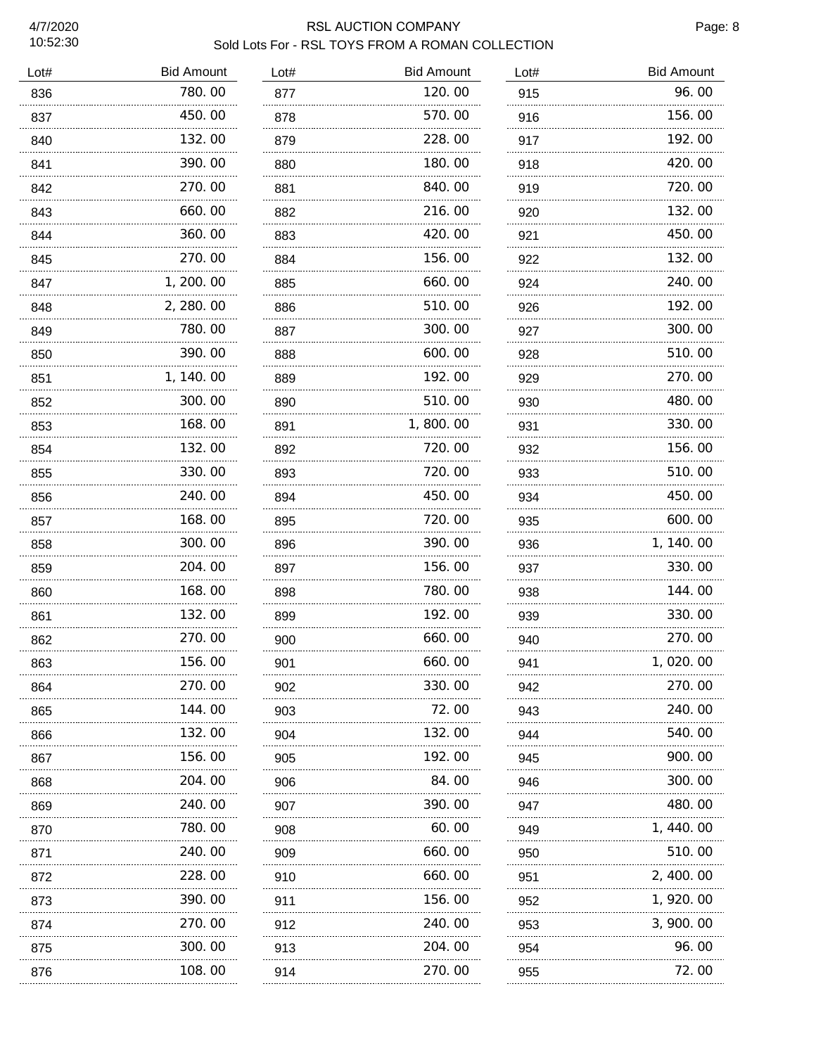#### RSL AUCTION COMPANY **Page: 8** Sold Lots For - RSL TOYS FROM A ROMAN COLLECTION

| Lot# | <b>Bid Amount</b> | Lot# | <b>Bid Amount</b> | Lot# | <b>Bid Amount</b> |
|------|-------------------|------|-------------------|------|-------------------|
| 836  | 780.00            | 877  | 120.00            | 915  | 96.00             |
| 837  | 450.00            | 878  | 570.00            | 916  | 156.00            |
| 840  | 132.00            | 879  | 228.00            | 917  | 192.00            |
| 841  | 390.00            | 880  | 180.00            | 918  | 420.00            |
| 842  | 270.00            | 881  | 840.00            | 919  | 720.00            |
| 843  | 660.00            | 882  | 216.00            | 920  | 132.00            |
| 844  | 360.00            | 883  | 420.00            | 921  | 450.00            |
| 845  | 270.00            | 884  | 156.00            | 922  | 132.00            |
| 847  | 1, 200. 00        | 885  | 660.00            | 924  | 240.00            |
| 848  | 2, 280.00         | 886  | 510.00            | 926  | 192.00            |
| 849  | 780.00            | 887  | 300.00            | 927  | 300.00            |
| 850  | 390.00            | 888  | 600.00            | 928  | 510.00            |
| 851  | 1, 140.00         | 889  | 192.00            | 929  | 270.00            |
| 852  | 300.00            | 890  | 510.00            | 930  | 480.00            |
| 853  | 168.00            | 891  | 1,800.00          | 931  | 330.00            |
| 854  | 132.00            | 892  | 720.00            | 932  | 156.00            |
| 855  | 330.00            | 893  | 720.00            | 933  | 510.00            |
| 856  | 240.00<br>.       | 894  | 450.00            | 934  | 450.00            |
| 857  | 168.00            | 895  | 720.00            | 935  | 600.00            |
| 858  | 300.00<br>.       | 896  | 390.00            | 936  | 1, 140.00         |
| 859  | 204.00            | 897  | 156.00            | 937  | 330.00            |
| 860  | 168.00            | 898  | 780.00            | 938  | 144.00            |
| 861  | 132.00            | 899  | 192.00            | 939  | 330.00            |
| 862  | 270.00            | 900  | 660.00            | 940  | 270.00            |
| 863  | 156.00            | 901  | 660.00            | 941  | 020.00            |
| 864  | 270.00            | 902  | 330.00            | 942  | 270.00            |
| 865  | 144.00            | 903  | 72.00             | 943  | 240.00            |
| 866  | 132.00            | 904  | 132.00            | 944  | 540.00            |
| 867  | 156.00            | 905  | 192.00            | 945  | 900.00            |
| 868  | 204.00            | 906  | 84.00             | 946  | 300.00            |
| 869  | 240.00            | 907  | 390.00            | 947  | 480.00            |
| 870  | 780.00            | 908  | 60.00             | 949  | 1, 440.00         |
| 871  | 240.00            | 909  | 660.00            | 950  | 510.00            |
| 872  | 228.00            | 910  | 660.00            | 951  | 2, 400.00         |
| 873  | 390.00            | 911  | 156.00            | 952  | 1, 920.00         |
| 874  | 270.00            | 912  | 240.00            | 953  | 3,900.00          |
| 875  | 300.00            | 913  | 204.00            | 954  | 96.00             |
| 876  | 108.00            | 914  | 270.00            | 955  | 72.00             |
|      |                   |      |                   |      |                   |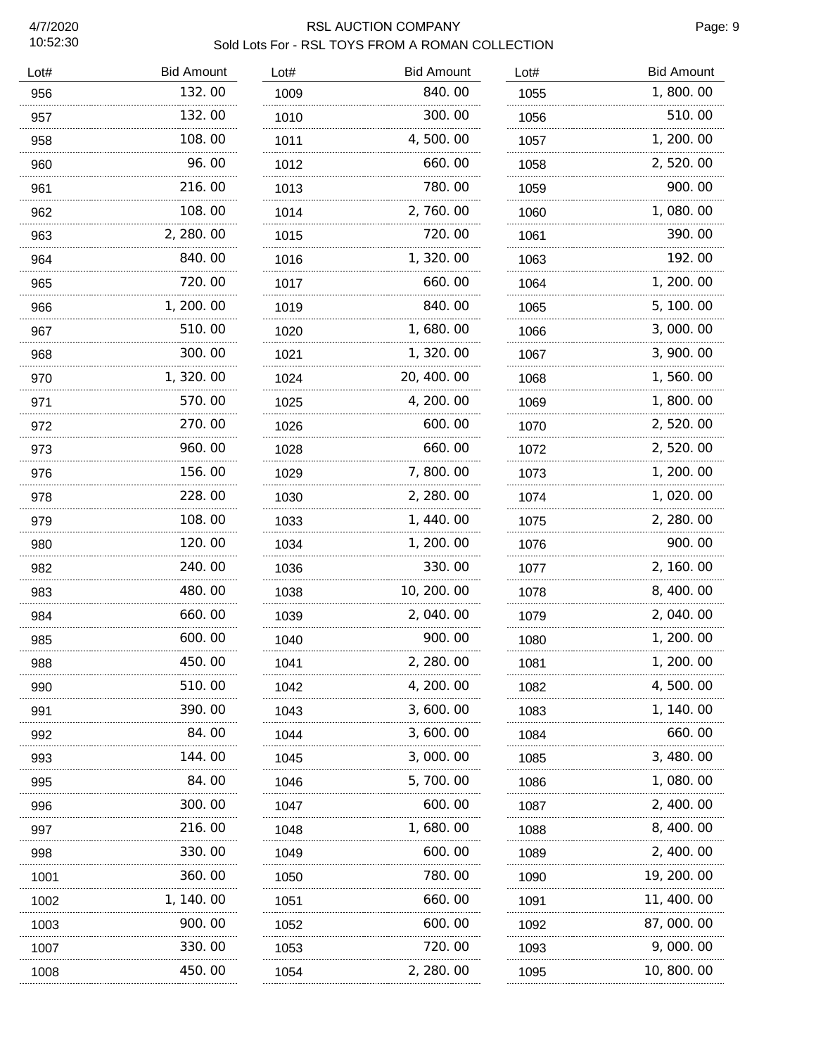#### RSL AUCTION COMPANY **Page: 9** Sold Lots For - RSL TOYS FROM A ROMAN COLLECTION

| Lot# | <b>Bid Amount</b> | Lot# | <b>Bid Amount</b> | Lot# | <b>Bid Amount</b> |
|------|-------------------|------|-------------------|------|-------------------|
| 956  | 132.00            | 1009 | 840.00            | 1055 | 1,800.00          |
| 957  | 132.00            | 1010 | 300.00            | 1056 | 510.00            |
| 958  | 108.00            | 1011 | 4,500.00          | 1057 | 1, 200. 00        |
| 960  | 96.00             | 1012 | 660.00            | 1058 | 2,520.00          |
| 961  | 216.00            | 1013 | 780.00            | 1059 | 900.00            |
| 962  | 108.00            | 1014 | 2,760.00          | 1060 | 1,080.00          |
| 963  | 2, 280.00         | 1015 | 720.00            | 1061 | 390.00            |
| 964  | 840.00            | 1016 | 1, 320.00         | 1063 | 192.00            |
| 965  | 720.00            | 1017 | 660.00            | 1064 | 1, 200. 00        |
| 966  | 1, 200, 00        | 1019 | 840.00            | 1065 | 5, 100. 00        |
| 967  | 510.00            | 1020 | 1,680.00          | 1066 | 3,000.00          |
| 968  | 300.00            | 1021 | 1,320.00          | 1067 | 3, 900. 00        |
| 970  | 1,320.00          | 1024 | 20, 400. 00       | 1068 | 1,560.00          |
| 971  | 570.00            | 1025 | 4, 200. 00        | 1069 | 1,800.00          |
| 972  | 270.00            | 1026 | 600.00            | 1070 | 2, 520.00         |
| 973  | 960.00            | 1028 | 660.00            | 1072 | 2,520.00          |
| 976  | 156.00            | 1029 | 7,800.00          | 1073 | 1, 200. 00        |
| 978  | 228.00            | 1030 | 2, 280.00         | 1074 | 1,020.00          |
| 979  | 108.00            | 1033 | 1, 440.00         | 1075 | 2, 280.00         |
| 980  | 120.00            | 1034 | 1, 200. 00        | 1076 | 900.00            |
| 982  | 240.00            | 1036 | 330.00            | 1077 | 2, 160. 00        |
| 983  | 480.00            | 1038 | 10, 200. 00       | 1078 | 8, 400. 00        |
| 984  | 660.00            | 1039 | 2,040.00          | 1079 | 2,040.00          |
| 985  | 600.00            | 1040 | 900.00            | 1080 | 1, 200. 00        |
| 988  | 450.00            | 1041 | 2, 280. 00        | 1081 | 1, 200. 00        |
| 990  | 510. 00           | 1042 | 4, 200. 00        | 1082 | 4, 500. 00        |
| 991  | 390.00            | 1043 | 3, 600. 00        | 1083 | 1, 140. 00        |
| 992  | 84. OO            | 1044 | 3, 600. 00        | 1084 | 660.00            |
| 993  | 144. 00           | 1045 | 3,000.00          | 1085 | 3, 480. 00        |
| 995  | 84. OO            | 1046 | 5,700.00          | 1086 | 1, 080. 00        |
| 996  | 300. 00           | 1047 | 600.00            | 1087 | 2, 400, 00        |
| 997  | 216.00            | 1048 | 1, 680. 00        | 1088 | 8, 400. 00        |
| 998  | 330.00            | 1049 | 600.00            | 1089 | 2, 400. 00        |
| 1001 | 360.00            | 1050 | 780.00            | 1090 | 19, 200. 00       |
| 1002 | 1, 140. 00        | 1051 | 660.00            | 1091 | 11, 400. 00       |
| 1003 | 900.00            | 1052 | 600. 00           | 1092 | 87, 000. 00       |
| 1007 | 330. 00           | 1053 | 720.00            | 1093 | 9,000.00          |
| 1008 | 450.00            | 1054 | 2, 280.00         | 1095 | 10, 800. 00       |
|      | .                 |      |                   |      |                   |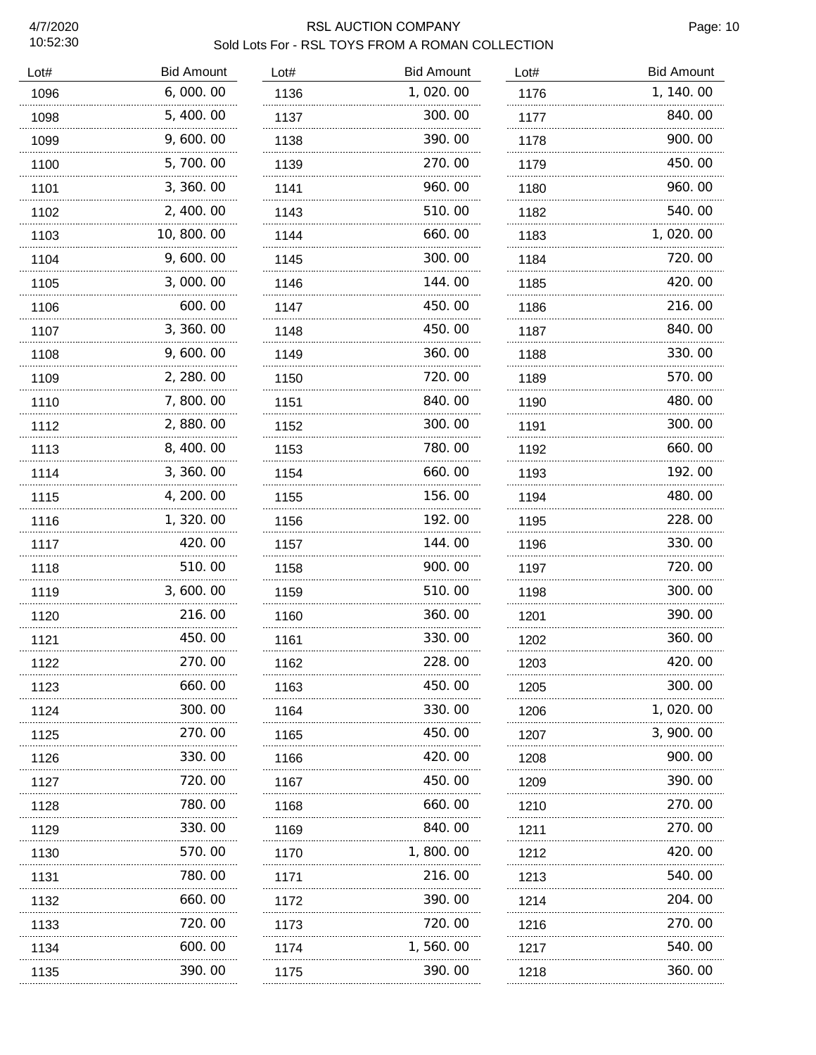# RSL AUCTION COMPANY **Page: 10** Sold Lots For - RSL TOYS FROM A ROMAN COLLECTION

| Lot# | <b>Bid Amount</b> | Lot# | <b>Bid Amount</b> | Lot# | <b>Bid Amount</b> |
|------|-------------------|------|-------------------|------|-------------------|
| 1096 | 6,000.00          | 1136 | 1,020.00          | 1176 | 1, 140.00         |
| 1098 | 5, 400.00         | 1137 | 300.00            | 1177 | 840.00            |
| 1099 | 9,600.00          | 1138 | 390.00            | 1178 | 900.00            |
| 1100 | 5,700.00          | 1139 | 270.00            | 1179 | 450.00            |
| 1101 | 3, 360.00         | 1141 | 960.00            | 1180 | 960.00            |
| 1102 | 2, 400.00         | 1143 | 510.00            | 1182 | 540.00            |
| 1103 | 10,800.00         | 1144 | 660.00            | 1183 | 1,020.00          |
| 1104 | 9,600.00          | 1145 | 300.00            | 1184 | 720.00            |
| 1105 | 3,000.00          | 1146 | 144.00            | 1185 | 420.00            |
| 1106 | 600.00            | 1147 | 450.00            | 1186 | 216.00            |
| 1107 | 3, 360.00         | 1148 | 450.00            | 1187 | 840.00            |
| 1108 | 9,600.00          | 1149 | 360.00            | 1188 | 330.00            |
| 1109 | 2, 280.00         | 1150 | 720.00            | 1189 | 570.00            |
| 1110 | 7,800.00          | 1151 | 840.00            | 1190 | 480.00            |
| 1112 | 2,880.00          | 1152 | 300.00            | 1191 | 300.00            |
| 1113 | 8,400.00          | 1153 | 780.00            | 1192 | 660.00            |
| 1114 | 3, 360.00         | 1154 | 660.00            | 1193 | 192.00            |
| 1115 | 4, 200. 00        | 1155 | 156.00            | 1194 | 480.00            |
| 1116 | 1, 320.00         | 1156 | 192.00            | 1195 | 228.00            |
| 1117 | 420.00            | 1157 | 144.00            | 1196 | 330.00            |
| 1118 | 510.00            | 1158 | 900.00            | 1197 | 720.00            |
| 1119 | 3,600.00          | 1159 | 510.00            | 1198 | 300.00            |
| 1120 | 216.00            | 1160 | 360.00            | 1201 | 390.00            |
| 1121 | 450.00            | 1161 | 330.00            | 1202 | 360.00            |
| 1122 | 270. 00           | 1162 | 228.00            | 1203 | 420.00            |
| 1123 | 660. 00           | 1163 | 450.00            | 1205 | 300.00            |
| 1124 | 300. 00           | 1164 | 330.00            | 1206 | 1, 020. 00        |
| 1125 | 270.00            | 1165 | 450.00            | 1207 | 3, 900. 00        |
| 1126 | 330.00            | 1166 | 420.00            | 1208 | 900.00            |
| 1127 | 720.00            | 1167 | 450.00            | 1209 | 390.00            |
| 1128 | 780. 00<br>.      | 1168 | 660.00            | 1210 | 270.00            |
| 1129 | 330.00            | 1169 | 840.00            | 1211 | 270.00            |
| 1130 | 570. 00<br>.      | 1170 | 1, 800. 00        | 1212 | 420, 00           |
| 1131 | 780. 00           | 1171 | 216.00            | 1213 | 540.00            |
| 1132 | 660. 00<br>.      | 1172 | 390.00            | 1214 | 204.00            |
| 1133 | 720. 00           | 1173 | 720.00            | 1216 | 270.00            |
| 1134 | 600.00            | 1174 | 1, 560. 00        | 1217 | 540.00            |
| 1135 | .<br>390. 00      | 1175 | 390.00            | 1218 | 360. 00           |
|      |                   |      |                   |      |                   |